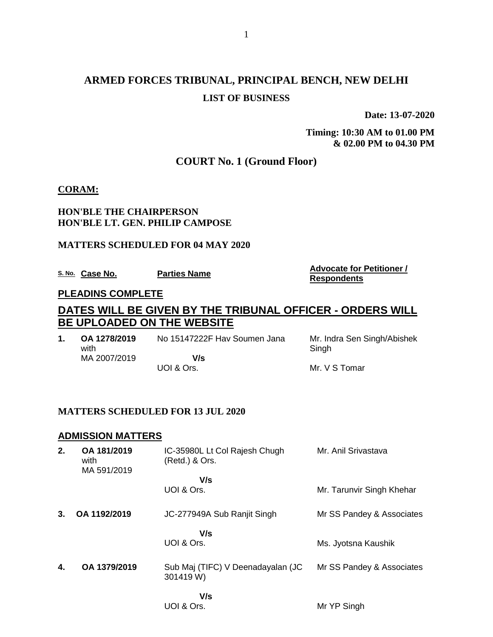# **ARMED FORCES TRIBUNAL, PRINCIPAL BENCH, NEW DELHI LIST OF BUSINESS**

**Date: 13-07-2020**

**Timing: 10:30 AM to 01.00 PM & 02.00 PM to 04.30 PM**

## **COURT No. 1 (Ground Floor)**

#### **CORAM:**

#### **HON'BLE THE CHAIRPERSON HON'BLE LT. GEN. PHILIP CAMPOSE**

#### **MATTERS SCHEDULED FOR 04 MAY 2020**

**S. No. Case No. Parties Name Advocate for Petitioner / Advocate for Petitioner /** 

**Respondents**

#### **PLEADINS COMPLETE**

# **DATES WILL BE GIVEN BY THE TRIBUNAL OFFICER - ORDERS WILL BE UPLOADED ON THE WEBSITE**

| OA 1278/2019<br>with | No 15147222F Hav Soumen Jana | Mr. Indra Sen Singh/Abishek<br>Singh |
|----------------------|------------------------------|--------------------------------------|
| MA 2007/2019         | V/s                          |                                      |
|                      | UOI & Ors.                   | Mr. V S Tomar                        |

#### **MATTERS SCHEDULED FOR 13 JUL 2020**

#### **ADMISSION MATTERS**

| 2. | OA 181/2019<br>with<br>MA 591/2019 | IC-35980L Lt Col Rajesh Chugh<br>(Retd.) & Ors. | Mr. Anil Srivastava       |
|----|------------------------------------|-------------------------------------------------|---------------------------|
|    |                                    | V/s                                             |                           |
|    |                                    | UOI & Ors.                                      | Mr. Tarunvir Singh Khehar |
| 3. | OA 1192/2019                       | JC-277949A Sub Ranjit Singh                     | Mr SS Pandey & Associates |
|    |                                    | V/s<br>UOI & Ors.                               | Ms. Jyotsna Kaushik       |
|    |                                    |                                                 |                           |
| 4. | OA 1379/2019                       | Sub Maj (TIFC) V Deenadayalan (JC<br>301419 W)  | Mr SS Pandey & Associates |
|    |                                    | V/s                                             |                           |
|    |                                    | UOI & Ors.                                      | Mr YP Singh               |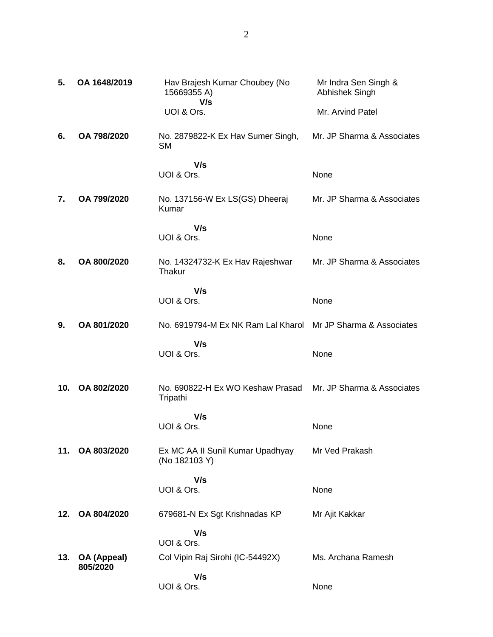| 5.  | OA 1648/2019            | Hav Brajesh Kumar Choubey (No<br>15669355 A)<br>V/s | Mr Indra Sen Singh &<br>Abhishek Singh |
|-----|-------------------------|-----------------------------------------------------|----------------------------------------|
|     |                         | UOI & Ors.                                          | Mr. Arvind Patel                       |
| 6.  | OA 798/2020             | No. 2879822-K Ex Hav Sumer Singh,<br><b>SM</b>      | Mr. JP Sharma & Associates             |
|     |                         | V/s<br>UOI & Ors.                                   | None                                   |
| 7.  | OA 799/2020             | No. 137156-W Ex LS(GS) Dheeraj<br>Kumar             | Mr. JP Sharma & Associates             |
|     |                         | V/s<br>UOI & Ors.                                   | None                                   |
| 8.  | OA 800/2020             | No. 14324732-K Ex Hav Rajeshwar<br>Thakur           | Mr. JP Sharma & Associates             |
|     |                         | V/s<br>UOI & Ors.                                   | None                                   |
| 9.  | OA 801/2020             | No. 6919794-M Ex NK Ram Lal Kharol                  | Mr JP Sharma & Associates              |
|     |                         | V/s<br>UOI & Ors.                                   | None                                   |
| 10. | OA 802/2020             | No. 690822-H Ex WO Keshaw Prasad<br>Tripathi        | Mr. JP Sharma & Associates             |
|     |                         | V/s                                                 |                                        |
|     |                         | UOI & Ors.                                          | None                                   |
| 11. | OA 803/2020             | Ex MC AA II Sunil Kumar Upadhyay<br>(No 182103 Y)   | Mr Ved Prakash                         |
|     |                         | V/s<br>UOI & Ors.                                   | None                                   |
| 12. | OA 804/2020             | 679681-N Ex Sgt Krishnadas KP                       | Mr Ajit Kakkar                         |
|     |                         | V/s<br>UOI & Ors.                                   |                                        |
| 13. | OA (Appeal)<br>805/2020 | Col Vipin Raj Sirohi (IC-54492X)                    | Ms. Archana Ramesh                     |
|     |                         | V/s<br>UOI & Ors.                                   | None                                   |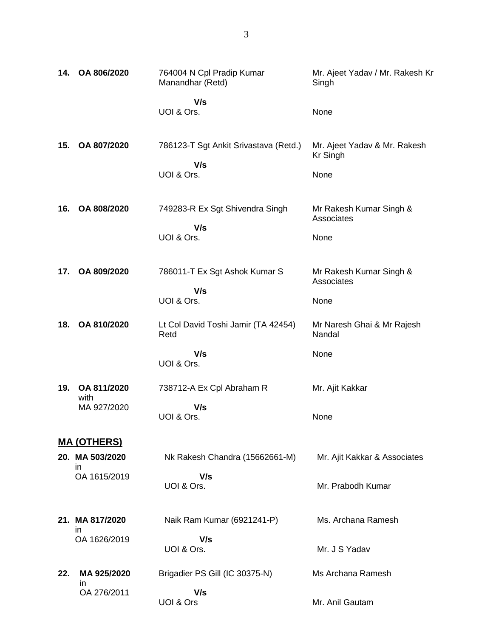| 14. | OA 806/2020                           | 764004 N Cpl Pradip Kumar<br>Manandhar (Retd)                | Mr. Ajeet Yadav / Mr. Rakesh Kr<br>Singh                |
|-----|---------------------------------------|--------------------------------------------------------------|---------------------------------------------------------|
|     |                                       | V/s<br>UOI & Ors.                                            | None                                                    |
| 15. | OA 807/2020                           | 786123-T Sgt Ankit Srivastava (Retd.)<br>V/s<br>UOI & Ors.   | Mr. Ajeet Yadav & Mr. Rakesh<br><b>Kr Singh</b><br>None |
| 16. | OA 808/2020                           | 749283-R Ex Sgt Shivendra Singh<br>V/s<br>UOI & Ors.         | Mr Rakesh Kumar Singh &<br>Associates<br>None           |
| 17. | OA 809/2020                           | 786011-T Ex Sgt Ashok Kumar S<br>V/s<br>UOI & Ors.           | Mr Rakesh Kumar Singh &<br>Associates<br>None           |
| 18. | OA 810/2020                           | Lt Col David Toshi Jamir (TA 42454)<br>Retd<br>V/s           | Mr Naresh Ghai & Mr Rajesh<br>Nandal<br>None            |
| 19. | OA 811/2020<br>with<br>MA 927/2020    | UOI & Ors.<br>738712-A Ex Cpl Abraham R<br>V/s<br>UOI & Ors. | Mr. Ajit Kakkar<br>None                                 |
|     | <u>MA (OTHERS)</u>                    |                                                              |                                                         |
|     | 20. MA 503/2020<br>in<br>OA 1615/2019 | Nk Rakesh Chandra (15662661-M)<br>V/s<br>UOI & Ors.          | Mr. Ajit Kakkar & Associates<br>Mr. Prabodh Kumar       |
|     | 21. MA 817/2020<br>in                 | Naik Ram Kumar (6921241-P)                                   | Ms. Archana Ramesh                                      |
|     | OA 1626/2019                          | V/s<br>UOI & Ors.                                            | Mr. J S Yadav                                           |
| 22. | MA 925/2020<br>in.<br>OA 276/2011     | Brigadier PS Gill (IC 30375-N)<br>V/s                        | Ms Archana Ramesh                                       |
|     |                                       | UOI & Ors                                                    | Mr. Anil Gautam                                         |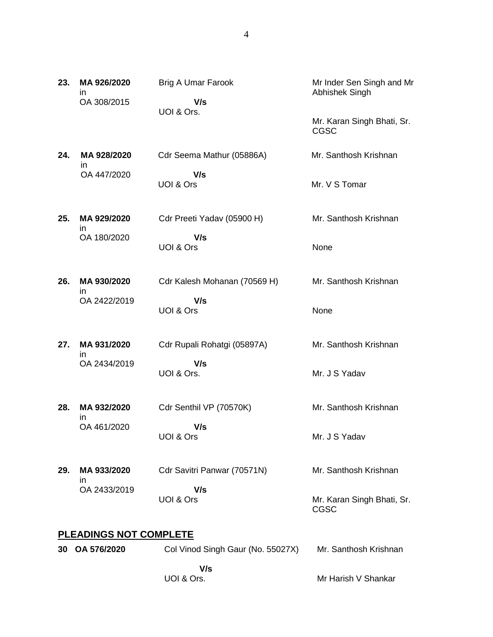| 23. | MA 926/2020<br>ın<br>OA 308/2015             | <b>Brig A Umar Farook</b><br>V/s<br>UOI & Ors.   | Mr Inder Sen Singh and Mr<br>Abhishek Singh<br>Mr. Karan Singh Bhati, Sr.<br><b>CGSC</b> |
|-----|----------------------------------------------|--------------------------------------------------|------------------------------------------------------------------------------------------|
| 24. | MA 928/2020<br>ın<br>OA 447/2020             | Cdr Seema Mathur (05886A)<br>V/s<br>UOI & Ors    | Mr. Santhosh Krishnan<br>Mr. V S Tomar                                                   |
| 25. | MA 929/2020<br>in<br>OA 180/2020             | Cdr Preeti Yadav (05900 H)<br>V/s<br>UOI & Ors   | Mr. Santhosh Krishnan<br>None                                                            |
| 26. | MA 930/2020<br>in<br>OA 2422/2019            | Cdr Kalesh Mohanan (70569 H)<br>V/s<br>UOI & Ors | Mr. Santhosh Krishnan<br>None                                                            |
| 27. | MA 931/2020<br>in<br>OA 2434/2019            | Cdr Rupali Rohatgi (05897A)<br>V/s<br>UOI & Ors. | Mr. Santhosh Krishnan<br>Mr. J S Yadav                                                   |
| 28. | MA 932/2020<br>in<br>OA 461/2020             | Cdr Senthil VP (70570K)<br>V/s<br>UOI & Ors      | Mr. Santhosh Krishnan<br>Mr. J S Yadav                                                   |
| 29. | MA 933/2020<br>ın<br>OA 2433/2019            | Cdr Savitri Panwar (70571N)<br>V/s<br>UOI & Ors  | Mr. Santhosh Krishnan<br>Mr. Karan Singh Bhati, Sr.<br>CGSC                              |
| 30  | <u>PLEADINGS NOT COMPLETE</u><br>OA 576/2020 | Col Vinod Singh Gaur (No. 55027X)                | Mr. Santhosh Krishnan                                                                    |

Mr Harish V Shankar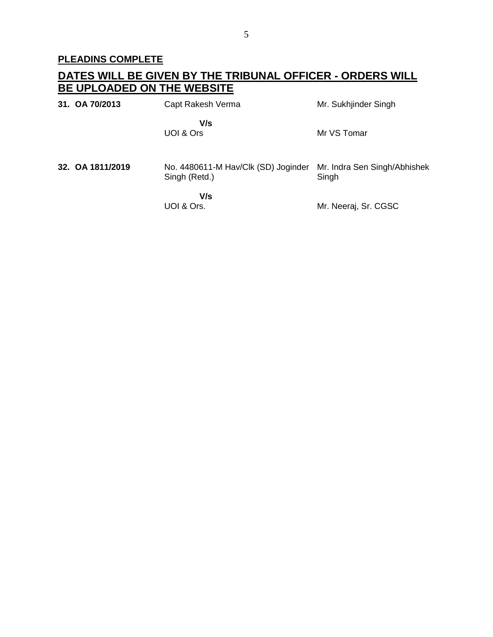# **PLEADINS COMPLETE**

# **DATES WILL BE GIVEN BY THE TRIBUNAL OFFICER - ORDERS WILL BE UPLOADED ON THE WEBSITE**

| 31. OA 70/2013   | Capt Rakesh Verma                                    | Mr. Sukhjinder Singh                  |
|------------------|------------------------------------------------------|---------------------------------------|
|                  | V/s<br>UOI & Ors                                     | Mr VS Tomar                           |
| 32. OA 1811/2019 | No. 4480611-M Hav/Clk (SD) Joginder<br>Singh (Retd.) | Mr. Indra Sen Singh/Abhishek<br>Singh |
|                  | V/s<br>UOI & Ors.                                    | Mr. Neeraj, Sr. CGSC                  |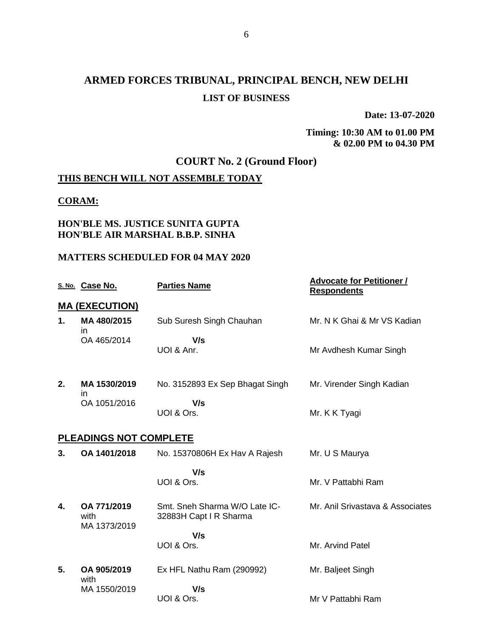# **ARMED FORCES TRIBUNAL, PRINCIPAL BENCH, NEW DELHI LIST OF BUSINESS**

**Date: 13-07-2020**

**Timing: 10:30 AM to 01.00 PM & 02.00 PM to 04.30 PM**

# **COURT No. 2 (Ground Floor)**

# **THIS BENCH WILL NOT ASSEMBLE TODAY**

### **CORAM:**

### **HON'BLE MS. JUSTICE SUNITA GUPTA HON'BLE AIR MARSHAL B.B.P. SINHA**

#### **MATTERS SCHEDULED FOR 04 MAY 2020**

|    | S. No. Case No.                     | <b>Parties Name</b>                                     | <b>Advocate for Petitioner /</b><br><b>Respondents</b> |  |  |  |
|----|-------------------------------------|---------------------------------------------------------|--------------------------------------------------------|--|--|--|
|    | <b>MA (EXECUTION)</b>               |                                                         |                                                        |  |  |  |
| 1. | MA 480/2015<br>in.                  | Sub Suresh Singh Chauhan                                | Mr. N K Ghai & Mr VS Kadian                            |  |  |  |
|    | OA 465/2014                         | V/s<br>UOI & Anr.                                       | Mr Avdhesh Kumar Singh                                 |  |  |  |
| 2. | MA 1530/2019<br>in                  | No. 3152893 Ex Sep Bhagat Singh                         | Mr. Virender Singh Kadian                              |  |  |  |
|    | OA 1051/2016                        | V/s<br>UOI & Ors.                                       | Mr. K K Tyagi                                          |  |  |  |
|    | <b>PLEADINGS NOT COMPLETE</b>       |                                                         |                                                        |  |  |  |
| 3. | OA 1401/2018                        | No. 15370806H Ex Hav A Rajesh                           | Mr. U S Maurya                                         |  |  |  |
|    |                                     | V/s<br>UOI & Ors.                                       | Mr. V Pattabhi Ram                                     |  |  |  |
| 4. | OA 771/2019<br>with<br>MA 1373/2019 | Smt. Sneh Sharma W/O Late IC-<br>32883H Capt I R Sharma | Mr. Anil Srivastava & Associates                       |  |  |  |
|    |                                     | V/s<br>UOI & Ors.                                       | Mr. Arvind Patel                                       |  |  |  |
| 5. | OA 905/2019<br>with                 | Ex HFL Nathu Ram (290992)                               | Mr. Baljeet Singh                                      |  |  |  |
|    | MA 1550/2019                        | V/s<br>UOI & Ors.                                       | Mr V Pattabhi Ram                                      |  |  |  |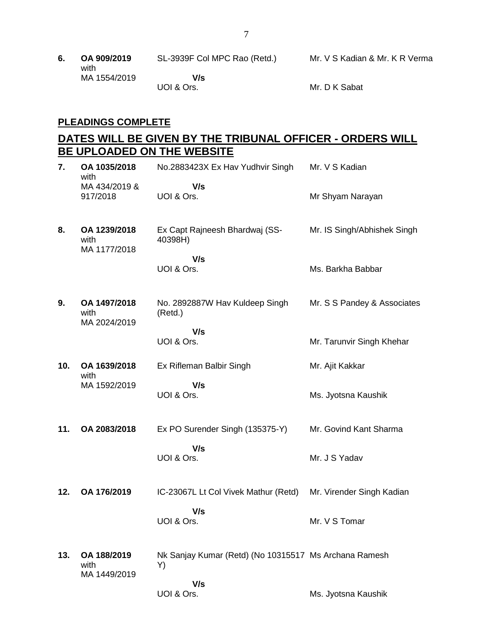**6. OA 909/2019** SL-3939F Col MPC Rao (Retd.) Mr. V S Kadian & Mr. K R Verma with MA 1554/2019  **V/s** UOI & Ors. Mr. D K Sabat

### **PLEADINGS COMPLETE**

# **DATES WILL BE GIVEN BY THE TRIBUNAL OFFICER - ORDERS WILL BE UPLOADED ON THE WEBSITE**

| 7.  | OA 1035/2018<br>with                 | No.2883423X Ex Hav Yudhvir Singh                            | Mr. V S Kadian              |
|-----|--------------------------------------|-------------------------------------------------------------|-----------------------------|
|     | MA 434/2019 &<br>917/2018            | V/s<br>UOI & Ors.                                           | Mr Shyam Narayan            |
| 8.  | OA 1239/2018<br>with<br>MA 1177/2018 | Ex Capt Rajneesh Bhardwaj (SS-<br>40398H)                   | Mr. IS Singh/Abhishek Singh |
|     |                                      | V/s<br>UOI & Ors.                                           | Ms. Barkha Babbar           |
| 9.  | OA 1497/2018<br>with<br>MA 2024/2019 | No. 2892887W Hav Kuldeep Singh<br>(Retd.)                   | Mr. S S Pandey & Associates |
|     |                                      | V/s<br>UOI & Ors.                                           | Mr. Tarunvir Singh Khehar   |
| 10. | OA 1639/2018<br>with                 | Ex Rifleman Balbir Singh                                    | Mr. Ajit Kakkar             |
|     | MA 1592/2019                         | V/s<br>UOI & Ors.                                           | Ms. Jyotsna Kaushik         |
| 11. | OA 2083/2018                         | Ex PO Surender Singh (135375-Y)                             | Mr. Govind Kant Sharma      |
|     |                                      | V/s<br>UOI & Ors.                                           | Mr. J S Yadav               |
| 12. | OA 176/2019                          | IC-23067L Lt Col Vivek Mathur (Retd)                        | Mr. Virender Singh Kadian   |
|     |                                      | V/s<br>UOI & Ors.                                           | Mr. V S Tomar               |
| 13. | OA 188/2019<br>with<br>MA 1449/2019  | Nk Sanjay Kumar (Retd) (No 10315517 Ms Archana Ramesh<br>Y) |                             |
|     |                                      | V/s<br>UOI & Ors.                                           | Ms. Jyotsna Kaushik         |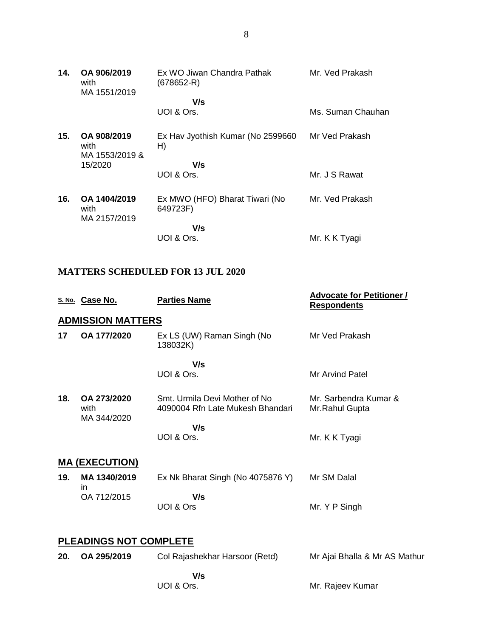| 14. | OA 906/2019<br>with<br>MA 1551/2019   | Ex WO Jiwan Chandra Pathak<br>(678652-R)   | Mr. Ved Prakash   |
|-----|---------------------------------------|--------------------------------------------|-------------------|
|     |                                       | V/s                                        |                   |
|     |                                       | UOI & Ors.                                 | Ms. Suman Chauhan |
| 15. | OA 908/2019<br>with<br>MA 1553/2019 & | Ex Hav Jyothish Kumar (No 2599660<br>H)    | Mr Ved Prakash    |
|     | 15/2020                               | V/s                                        |                   |
|     |                                       | UOI & Ors.                                 | Mr. J S Rawat     |
| 16. | OA 1404/2019<br>with<br>MA 2157/2019  | Ex MWO (HFO) Bharat Tiwari (No<br>649723F) | Mr. Ved Prakash   |
|     |                                       | V/s                                        |                   |
|     |                                       | UOI & Ors.                                 | Mr. K K Tyagi     |

## **MATTERS SCHEDULED FOR 13 JUL 2020**

|     | S. No. Case No.                    | <b>Parties Name</b>                                               | <b>Advocate for Petitioner /</b><br><b>Respondents</b> |
|-----|------------------------------------|-------------------------------------------------------------------|--------------------------------------------------------|
|     | <b>ADMISSION MATTERS</b>           |                                                                   |                                                        |
| 17  | OA 177/2020                        | Ex LS (UW) Raman Singh (No<br>138032K)                            | Mr Ved Prakash                                         |
|     |                                    | V/s                                                               |                                                        |
|     |                                    | UOI & Ors.                                                        | Mr Arvind Patel                                        |
| 18. | OA 273/2020<br>with<br>MA 344/2020 | Smt. Urmila Devi Mother of No<br>4090004 Rfn Late Mukesh Bhandari | Mr. Sarbendra Kumar &<br>Mr.Rahul Gupta                |
|     |                                    | V/s                                                               |                                                        |
|     |                                    | UOI & Ors.                                                        | Mr. K K Tyagi                                          |
|     | <b>MA (EXECUTION)</b>              |                                                                   |                                                        |
| 19. | MA 1340/2019<br>in                 | Ex Nk Bharat Singh (No 4075876 Y)                                 | Mr SM Dalal                                            |
|     | OA 712/2015                        | V/s                                                               |                                                        |
|     |                                    | UOI & Ors                                                         | Mr. Y P Singh                                          |
|     | <b>PLEADINGS NOT COMPLETE</b>      |                                                                   |                                                        |
| 20. | OA 295/2019                        |                                                                   |                                                        |
|     |                                    | Col Rajashekhar Harsoor (Retd)                                    | Mr Ajai Bhalla & Mr AS Mathur                          |
|     |                                    | V/s                                                               |                                                        |

UOI & Ors.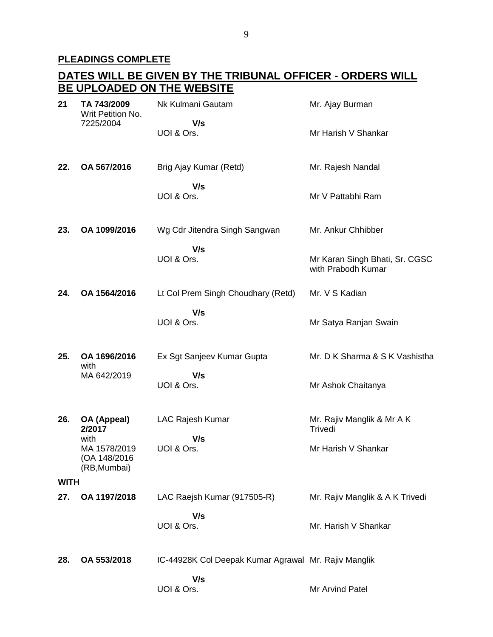# **PLEADINGS COMPLETE**

|             | <u>DATES WILL BE GIVEN BY THE TRIBUNAL OFFICER - ORDERS WILL</u> |                                                      |                                                      |  |
|-------------|------------------------------------------------------------------|------------------------------------------------------|------------------------------------------------------|--|
|             |                                                                  | BE UPLOADED ON THE WEBSITE                           |                                                      |  |
| 21          | TA 743/2009<br>Writ Petition No.<br>7225/2004                    | Nk Kulmani Gautam                                    | Mr. Ajay Burman                                      |  |
|             |                                                                  | V/s<br>UOI & Ors.                                    | Mr Harish V Shankar                                  |  |
| 22.         | OA 567/2016                                                      | Brig Ajay Kumar (Retd)                               | Mr. Rajesh Nandal                                    |  |
|             |                                                                  | V/s<br>UOI & Ors.                                    | Mr V Pattabhi Ram                                    |  |
| 23.         | OA 1099/2016                                                     | Wg Cdr Jitendra Singh Sangwan                        | Mr. Ankur Chhibber                                   |  |
|             |                                                                  | V/s<br>UOI & Ors.                                    | Mr Karan Singh Bhati, Sr. CGSC<br>with Prabodh Kumar |  |
| 24.         | OA 1564/2016                                                     | Lt Col Prem Singh Choudhary (Retd)                   | Mr. V S Kadian                                       |  |
|             |                                                                  | V/s<br>UOI & Ors.                                    | Mr Satya Ranjan Swain                                |  |
| 25.         | OA 1696/2016<br>with                                             | Ex Sgt Sanjeev Kumar Gupta                           | Mr. D K Sharma & S K Vashistha                       |  |
|             | MA 642/2019                                                      | V/s<br>UOI & Ors.                                    | Mr Ashok Chaitanya                                   |  |
| 26.         | OA (Appeal)<br>2/2017                                            | LAC Rajesh Kumar<br>V/s                              | Mr. Rajiv Manglik & Mr A K<br>Trivedi                |  |
|             | with<br>MA 1578/2019<br>(OA 148/2016<br>(RB, Mumbai)             | UOI & Ors.                                           | Mr Harish V Shankar                                  |  |
| <b>WITH</b> |                                                                  |                                                      |                                                      |  |
| 27.         | OA 1197/2018                                                     | LAC Raejsh Kumar (917505-R)                          | Mr. Rajiv Manglik & A K Trivedi                      |  |
|             |                                                                  | V/s<br>UOI & Ors.                                    | Mr. Harish V Shankar                                 |  |
| 28.         | OA 553/2018                                                      | IC-44928K Col Deepak Kumar Agrawal Mr. Rajiv Manglik |                                                      |  |
|             |                                                                  | V/s<br>UOI & Ors.                                    | Mr Arvind Patel                                      |  |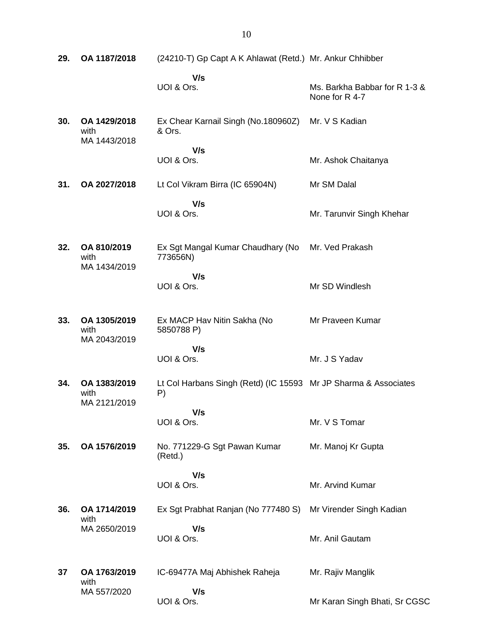| 29. | OA 1187/2018                         | (24210-T) Gp Capt A K Ahlawat (Retd.) Mr. Ankur Chhibber              |                                                 |
|-----|--------------------------------------|-----------------------------------------------------------------------|-------------------------------------------------|
|     |                                      | V/s<br>UOI & Ors.                                                     | Ms. Barkha Babbar for R 1-3 &<br>None for R 4-7 |
| 30. | OA 1429/2018<br>with<br>MA 1443/2018 | Ex Chear Karnail Singh (No.180960Z)<br>& Ors.                         | Mr. V S Kadian                                  |
|     |                                      | V/s<br>UOI & Ors.                                                     | Mr. Ashok Chaitanya                             |
| 31. | OA 2027/2018                         | Lt Col Vikram Birra (IC 65904N)                                       | Mr SM Dalal                                     |
|     |                                      | V/s<br>UOI & Ors.                                                     | Mr. Tarunvir Singh Khehar                       |
| 32. | OA 810/2019<br>with<br>MA 1434/2019  | Ex Sgt Mangal Kumar Chaudhary (No Mr. Ved Prakash<br>773656N)         |                                                 |
|     |                                      | V/s<br>UOI & Ors.                                                     | Mr SD Windlesh                                  |
| 33. | OA 1305/2019<br>with<br>MA 2043/2019 | Ex MACP Hav Nitin Sakha (No<br>5850788 P)                             | Mr Praveen Kumar                                |
|     |                                      | V/s<br>UOI & Ors.                                                     | Mr. J S Yadav                                   |
| 34. | OA 1383/2019<br>with<br>MA 2121/2019 | Lt Col Harbans Singh (Retd) (IC 15593 Mr JP Sharma & Associates<br>P) |                                                 |
|     |                                      | V/s<br>UOI & Ors.                                                     | Mr. V S Tomar                                   |
| 35. | OA 1576/2019                         | No. 771229-G Sgt Pawan Kumar<br>(Retd.)                               | Mr. Manoj Kr Gupta                              |
|     |                                      | V/s<br>UOI & Ors.                                                     | Mr. Arvind Kumar                                |
| 36. | OA 1714/2019<br>with                 | Ex Sgt Prabhat Ranjan (No 777480 S)                                   | Mr Virender Singh Kadian                        |
|     | MA 2650/2019                         | V/s<br>UOI & Ors.                                                     | Mr. Anil Gautam                                 |
| 37  | OA 1763/2019<br>with                 | IC-69477A Maj Abhishek Raheja                                         | Mr. Rajiv Manglik                               |
|     | MA 557/2020                          | V/s<br>UOI & Ors.                                                     | Mr Karan Singh Bhati, Sr CGSC                   |